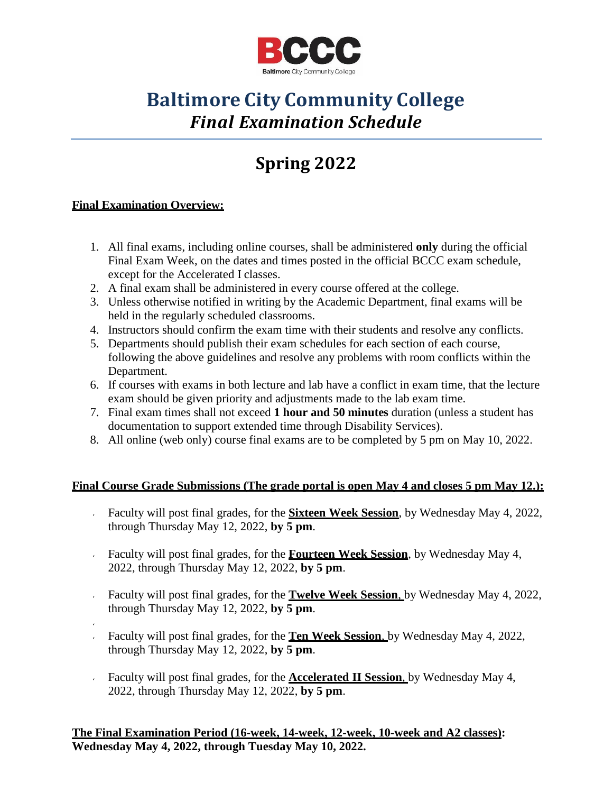

## **Baltimore City Community College** *Final Examination Schedule*

# **Spring 2022**

#### **Final Examination Overview:**

- 1. All final exams, including online courses, shall be administered **only** during the official Final Exam Week, on the dates and times posted in the official BCCC exam schedule, except for the Accelerated I classes.
- 2. A final exam shall be administered in every course offered at the college.
- 3. Unless otherwise notified in writing by the Academic Department, final exams will be held in the regularly scheduled classrooms.
- 4. Instructors should confirm the exam time with their students and resolve any conflicts.
- 5. Departments should publish their exam schedules for each section of each course, following the above guidelines and resolve any problems with room conflicts within the Department.
- 6. If courses with exams in both lecture and lab have a conflict in exam time, that the lecture exam should be given priority and adjustments made to the lab exam time.
- 7. Final exam times shall not exceed **1 hour and 50 minutes** duration (unless a student has documentation to support extended time through Disability Services).
- 8. All online (web only) course final exams are to be completed by 5 pm on May 10, 2022.

#### **Final Course Grade Submissions (The grade portal is open May 4 and closes 5 pm May 12.):**

- Faculty will post final grades, for the **Sixteen Week Session**, by Wednesday May 4, 2022, through Thursday May 12, 2022, **by 5 pm**.
- Faculty will post final grades, for the **Fourteen Week Session**, by Wednesday May 4, 2022, through Thursday May 12, 2022, **by 5 pm**.
- Faculty will post final grades, for the **Twelve Week Session**, by Wednesday May 4, 2022, through Thursday May 12, 2022, **by 5 pm**.
- Faculty will post final grades, for the **Ten Week Session**, by Wednesday May 4, 2022, through Thursday May 12, 2022, **by 5 pm**.
- Faculty will post final grades, for the **Accelerated II Session**, by Wednesday May 4, 2022, through Thursday May 12, 2022, **by 5 pm**.

**The Final Examination Period (16-week, 14-week, 12-week, 10-week and A2 classes): Wednesday May 4, 2022, through Tuesday May 10, 2022.**